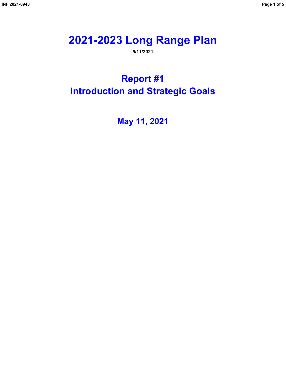# **2021-2023 Long Range Plan**

**5/11/2021**

**Report #1 Introduction and Strategic Goals**

**May 11, 2021**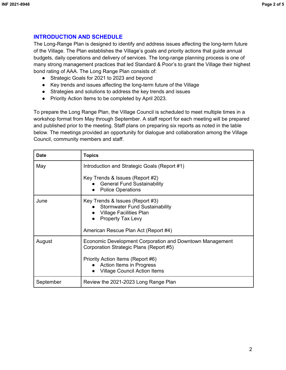# **INTRODUCTION AND SCHEDULE**

The Long-Range Plan is designed to identify and address issues affecting the long-term future of the Village. The Plan establishes the Village's goals and priority actions that guide annual budgets, daily operations and delivery of services. The long-range planning process is one of many strong management practices that led Standard & Poor's to grant the Village their highest bond rating of AAA. The Long Range Plan consists of:

- Strategic Goals for 2021 to 2023 and beyond
- Key trends and issues affecting the long-term future of the Village
- Strategies and solutions to address the key trends and issues
- Priority Action Items to be completed by April 2023.

To prepare the Long Range Plan, the Village Council is scheduled to meet multiple times in a workshop format from May through September. A staff report for each meeting will be prepared and published prior to the meeting. Staff plans on preparing six reports as noted in the table below. The meetings provided an opportunity for dialogue and collaboration among the Village Council, community members and staff.

| <b>Date</b> | Topics                                                                                                                                                                                                      |
|-------------|-------------------------------------------------------------------------------------------------------------------------------------------------------------------------------------------------------------|
| May         | Introduction and Strategic Goals (Report #1)                                                                                                                                                                |
|             | Key Trends & Issues (Report #2)<br><b>General Fund Sustainability</b><br><b>Police Operations</b>                                                                                                           |
| June        | Key Trends & Issues (Report #3)<br>• Stormwater Fund Sustainability<br>Village Facilities Plan<br><b>Property Tax Levy</b><br>American Rescue Plan Act (Report #4)                                          |
| August      | Economic Development Corporation and Downtown Management<br>Corporation Strategic Plans (Report #5)<br>Priority Action Items (Report #6)<br>Action Items in Progress<br><b>Village Council Action Items</b> |
| September   | Review the 2021-2023 Long Range Plan                                                                                                                                                                        |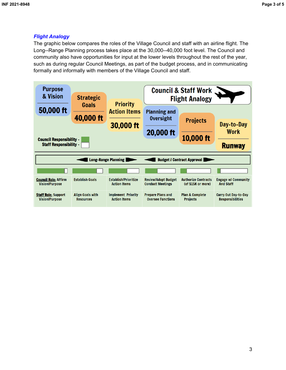### *Flight Analogy*

The graphic below compares the roles of the Village Council and staff with an airline flight. The Long--Range Planning process takes place at the 30,000--40,000 foot level. The Council and community also have opportunities for input at the lower levels throughout the rest of the year, such as during regular Council Meetings, as part of the budget process, and in communicating formally and informally with members of the Village Council and staff.

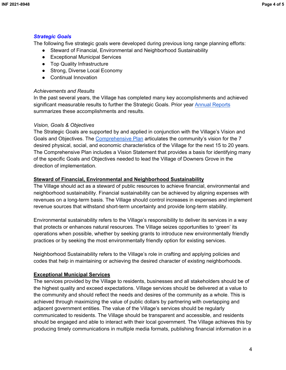# *Strategic Goals*

The following five strategic goals were developed during previous long range planning efforts:

- Steward of Financial, Environmental and Neighborhood Sustainability
- Exceptional Municipal Services
- Top Quality Infrastructure
- Strong, Diverse Local Economy
- Continual Innovation

#### *Achievements and Results*

In the past several years, the Village has completed many key accomplishments and achieved significant measurable results to further the Strategic Goals. Prior year [Annual Reports](http://www.downers.us/govt/village-managers-office/annual-report) summarizes these accomplishments and results.

#### *Vision, Goals & Objectives*

The Strategic Goals are supported by and applied in conjunction with the Village's Vision and Goals and Objectives. The [Comprehensive Plan](http://www.downers.us/public/docs/departments/com_dvlpment/CompPlan2017_Approved_061317.pdf) articulates the community's vision for the 7 desired physical, social, and economic characteristics of the Village for the next 15 to 20 years. The Comprehensive Plan includes a Vision Statement that provides a basis for identifying many of the specific Goals and Objectives needed to lead the Village of Downers Grove in the direction of implementation.

#### **Steward of Financial, Environmental and Neighborhood Sustainability**

The Village should act as a steward of public resources to achieve financial, environmental and neighborhood sustainability. Financial sustainability can be achieved by aligning expenses with revenues on a long-term basis. The Village should control increases in expenses and implement revenue sources that withstand short-term uncertainty and provide long-term stability.

Environmental sustainability refers to the Village's responsibility to deliver its services in a way that protects or enhances natural resources. The Village seizes opportunities to 'green' its operations when possible, whether by seeking grants to introduce new environmentally friendly practices or by seeking the most environmentally friendly option for existing services.

Neighborhood Sustainability refers to the Village's role in crafting and applying policies and codes that help in maintaining or achieving the desired character of existing neighborhoods.

#### **Exceptional Municipal Services**

The services provided by the Village to residents, businesses and all stakeholders should be of the highest quality and exceed expectations. Village services should be delivered at a value to the community and should reflect the needs and desires of the community as a whole. This is achieved through maximizing the value of public dollars by partnering with overlapping and adjacent government entities. The value of the Village's services should be regularly communicated to residents. The Village should be transparent and accessible, and residents should be engaged and able to interact with their local government. The Village achieves this by producing timely communications in multiple media formats, publishing financial information in a